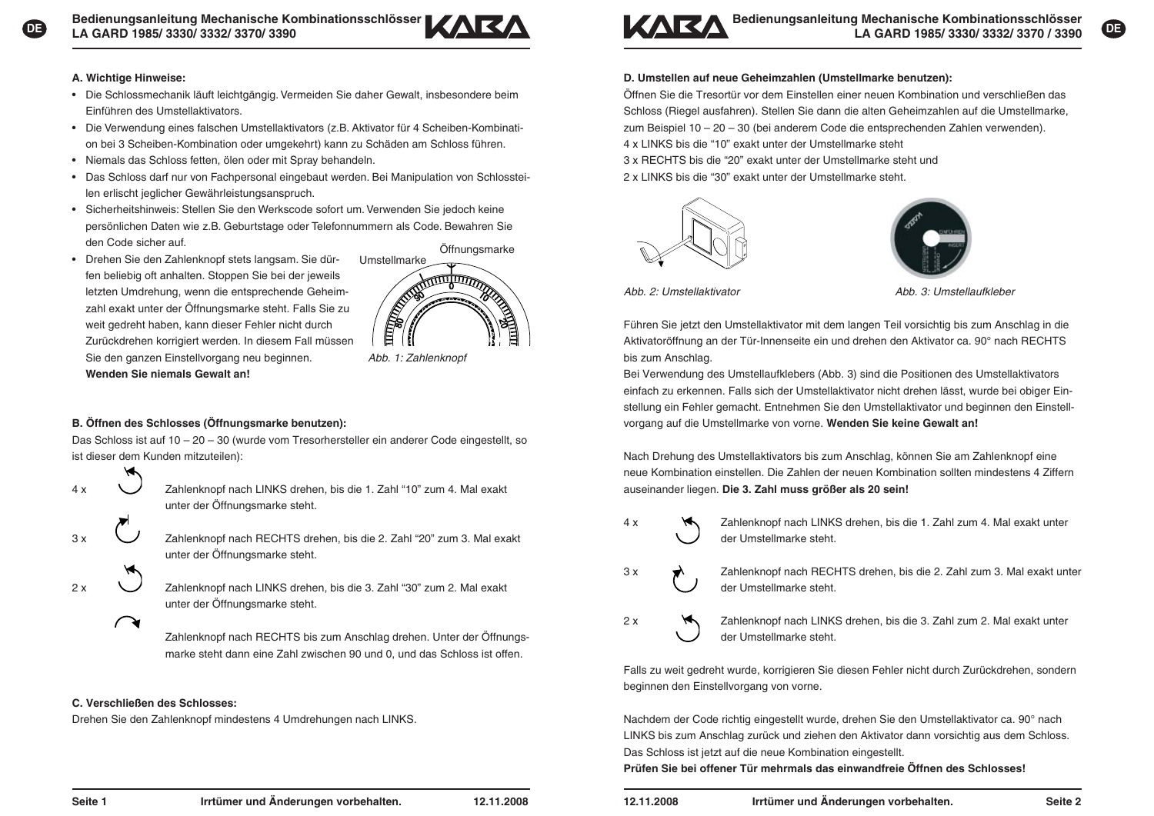



# **A. Wichtige Hinweise:**

- Die Schlossmechanik läuft leichtgängig. Vermeiden Sie daher Gewalt, insbesondere beim Einführen des Umstellaktivators.
- Die Verwendung eines falschen Umstellaktivators (z.B. Aktivator für 4 Scheiben-Kombinati-• on bei 3 Scheiben-Kombination oder umgekehrt) kann zu Schäden am Schloss führen.
- Niemals das Schloss fetten, ölen oder mit Spray behandeln. •
- Das Schloss darf nur von Fachpersonal eingebaut werden. Bei Manipulation von Schlosstei-• len erlischt jeglicher Gewährleistungsanspruch.
- Sicherheitshinweis: Stellen Sie den Werkscode sofort um. Verwenden Sie jedoch keine persönlichen Daten wie z.B. Geburtstage oder Telefonnummern als Code. Bewahren Sie den Code sicher auf.Öffnungsmarke
- Drehen Sie den Zahlenknopf stets langsam. Sie dür-• fen beliebig oft anhalten. Stoppen Sie bei der jeweils letzten Umdrehung, wenn die entsprechende Geheimzahl exakt unter der Öffnungsmarke steht. Falls Sie zu weit gedreht haben, kann dieser Fehler nicht durch Zurückdrehen korrigiert werden. In diesem Fall müssen Sie den ganzen Einstellvorgang neu beginnen. *Abb. 1: Zahlenknopf* **Wenden Sie niemals Gewalt an!**

# UmstellmarkeFILED A

# **B. Öffnen des Schlosses (Öffnungsmarke benutzen):**

Das Schloss ist auf 10 – 20 – 30 (wurde vom Tresorhersteller ein anderer Code eingestellt, so ist dieser dem Kunden mitzuteilen):



4 x Zahlenknopf nach LINKS drehen, bis die 1. Zahl "10" zum 4. Mal exakt unter der Öffnungsmarke steht.



Zahlenknopf nach RECHTS drehen, bis die 2. Zahl "20" zum 3. Mal exakt unter der Öffnungsmarke steht.

2 x  $\bigcup$  Zahlenknopf nach LINKS drehen, bis die 3. Zahl "30" zum 2. Mal exakt unter der Öffnungsmarke steht.

> Zahlenknopf nach RECHTS bis zum Anschlag drehen. Unter der Öffnungs marke steht dann eine Zahl zwischen 90 und 0, und das Schloss ist offen.

# **C. Verschließen des Schlosses:**

 $\curvearrowright$ 

Drehen Sie den Zahlenknopf mindestens 4 Umdrehungen nach LINKS.



# **D. Umstellen auf neue Geheimzahlen (Umstellmarke benutzen):**

Öffnen Sie die Tresortür vor dem Einstellen einer neuen Kombination und verschließen das Schloss (Riegel ausfahren). Stellen Sie dann die alten Geheimzahlen auf die Umstellmarke, zum Beispiel 10 – 20 – 30 (bei anderem Code die entsprechenden Zahlen verwenden). 4 x LINKS bis die "10" exakt unter der Umstellmarke steht

3 x RECHTS bis die "20" exakt unter der Umstellmarke steht und

2 x LINKS bis die "30" exakt unter der Umstellmarke steht.





*Abb. 2: Umstellaktivator Abb. 3: Umstellaufkleber*

Führen Sie jetzt den Umstellaktivator mit dem langen Teil vorsichtig bis zum Anschlag in die Aktivatoröffnung an der Tür-Innenseite ein und drehen den Aktivator ca. 90° nach RECHTS bis zum Anschlag.

Bei Verwendung des Umstellaufklebers (Abb. 3) sind die Positionen des Umstellaktivators einfach zu erkennen. Falls sich der Umstellaktivator nicht drehen lässt, wurde bei obiger Einstellung ein Fehler gemacht. Entnehmen Sie den Umstellaktivator und beginnen den Einstellvorgang auf die Umstellmarke von vorne. **Wenden Sie keine Gewalt an!**

Nach Drehung des Umstellaktivators bis zum Anschlag, können Sie am Zahlenknopf eine neue Kombination einstellen. Die Zahlen der neuen Kombination sollten mindestens 4 Ziffern auseinander liegen. **Die 3. Zahl muss größer als 20 sein!**

- 4 x Zahlenknopf nach LINKS drehen, bis die 1. Zahl zum 4. Mal exakt unter der Umstellmarke steht.
- 
- 3 x  $\rightarrow$  Zahlenknopf nach RECHTS drehen, bis die 2. Zahl zum 3. Mal exakt unter der Umstellmarke steht.
- 

2 x **A** Zahlenknopf nach LINKS drehen, bis die 3. Zahl zum 2. Mal exakt unter der Umstellmarke steht.

Falls zu weit gedreht wurde, korrigieren Sie diesen Fehler nicht durch Zurückdrehen, sondern beginnen den Einstellvorgang von vorne.

Nachdem der Code richtig eingestellt wurde, drehen Sie den Umstellaktivator ca. 90° nach LINKS bis zum Anschlag zurück und ziehen den Aktivator dann vorsichtig aus dem Schloss. Das Schloss ist jetzt auf die neue Kombination eingestellt.

**Prüfen Sie bei offener Tür mehrmals das einwandfreie Öffnen des Schlosses!**